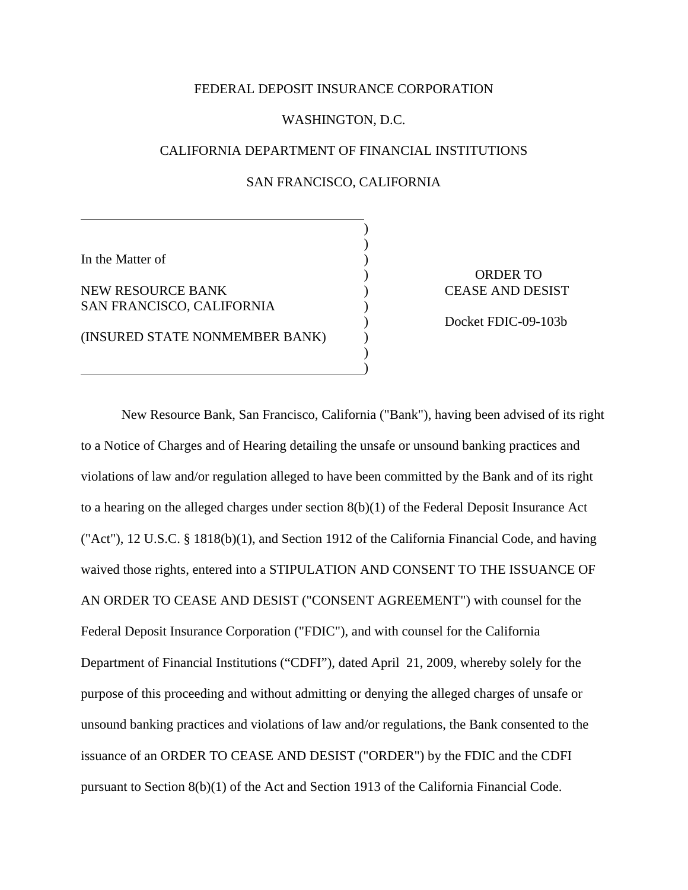### FEDERAL DEPOSIT INSURANCE CORPORATION

### WASHINGTON, D.C.

# CALIFORNIA DEPARTMENT OF FINANCIAL INSTITUTIONS

## SAN FRANCISCO, CALIFORNIA

)

) )

)

)

In the Matter of

NEW RESOURCE BANK SAN FRANCISCO, CALIFORNIA

(INSURED STATE NONMEMBER BANK)

 $)$  $)$ 

 $)$ 

 $)$ 

) ORDER TO CEASE AND DESIST

Docket FDIC-09-103b

 New Resource Bank, San Francisco, California ("Bank"), having been advised of its right to a Notice of Charges and of Hearing detailing the unsafe or unsound banking practices and violations of law and/or regulation alleged to have been committed by the Bank and of its right to a hearing on the alleged charges under section 8(b)(1) of the Federal Deposit Insurance Act ("Act"), 12 U.S.C. § 1818(b)(1), and Section 1912 of the California Financial Code, and having waived those rights, entered into a STIPULATION AND CONSENT TO THE ISSUANCE OF AN ORDER TO CEASE AND DESIST ("CONSENT AGREEMENT") with counsel for the Federal Deposit Insurance Corporation ("FDIC"), and with counsel for the California Department of Financial Institutions ("CDFI"), dated April 21, 2009, whereby solely for the purpose of this proceeding and without admitting or denying the alleged charges of unsafe or unsound banking practices and violations of law and/or regulations, the Bank consented to the issuance of an ORDER TO CEASE AND DESIST ("ORDER") by the FDIC and the CDFI pursuant to Section 8(b)(1) of the Act and Section 1913 of the California Financial Code.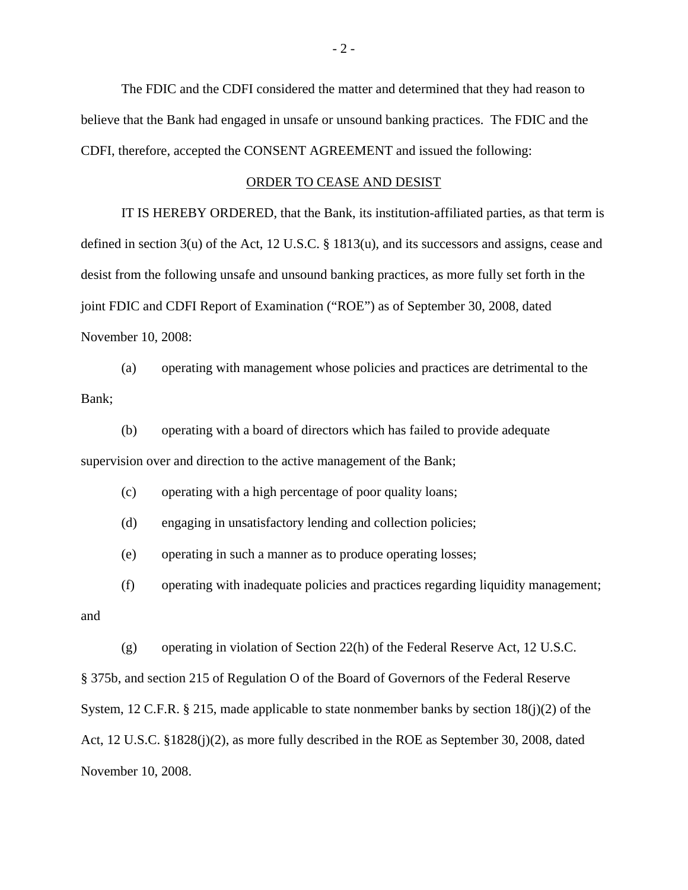The FDIC and the CDFI considered the matter and determined that they had reason to believe that the Bank had engaged in unsafe or unsound banking practices. The FDIC and the CDFI, therefore, accepted the CONSENT AGREEMENT and issued the following:

### ORDER TO CEASE AND DESIST

 IT IS HEREBY ORDERED, that the Bank, its institution-affiliated parties, as that term is defined in section 3(u) of the Act, 12 U.S.C. § 1813(u), and its successors and assigns, cease and desist from the following unsafe and unsound banking practices, as more fully set forth in the joint FDIC and CDFI Report of Examination ("ROE") as of September 30, 2008, dated November 10, 2008:

(a) operating with management whose policies and practices are detrimental to the Bank;

(b) operating with a board of directors which has failed to provide adequate supervision over and direction to the active management of the Bank;

(c) operating with a high percentage of poor quality loans;

(d) engaging in unsatisfactory lending and collection policies;

(e) operating in such a manner as to produce operating losses;

(f) operating with inadequate policies and practices regarding liquidity management;

and

(g) operating in violation of Section 22(h) of the Federal Reserve Act, 12 U.S.C.

§ 375b, and section 215 of Regulation O of the Board of Governors of the Federal Reserve System, 12 C.F.R. § 215, made applicable to state nonmember banks by section  $18(i)(2)$  of the Act, 12 U.S.C. §1828(j)(2), as more fully described in the ROE as September 30, 2008, dated November 10, 2008.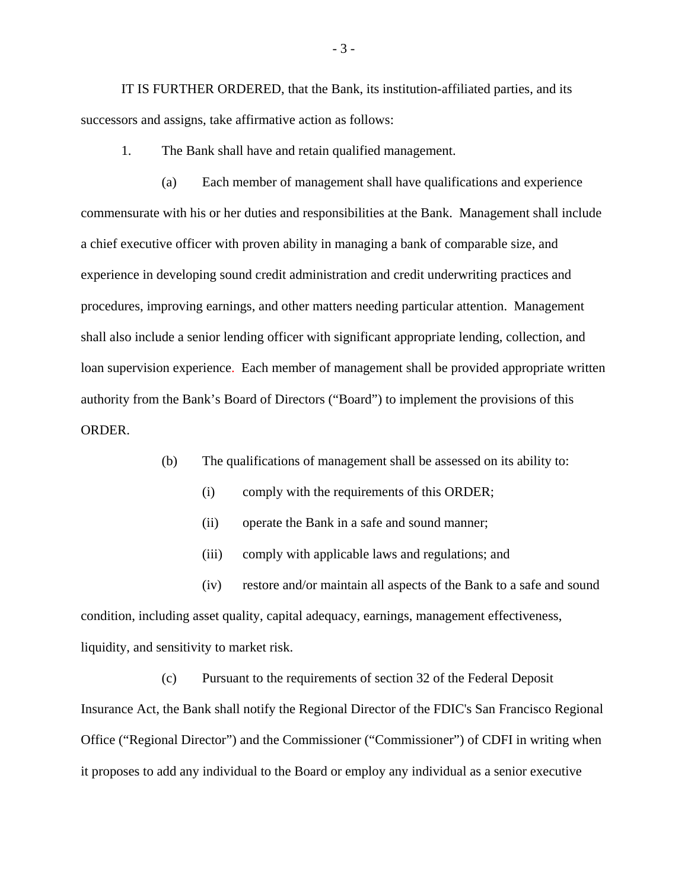IT IS FURTHER ORDERED, that the Bank, its institution-affiliated parties, and its successors and assigns, take affirmative action as follows:

1. The Bank shall have and retain qualified management.

(a) Each member of management shall have qualifications and experience commensurate with his or her duties and responsibilities at the Bank. Management shall include a chief executive officer with proven ability in managing a bank of comparable size, and experience in developing sound credit administration and credit underwriting practices and procedures, improving earnings, and other matters needing particular attention. Management shall also include a senior lending officer with significant appropriate lending, collection, and loan supervision experience. Each member of management shall be provided appropriate written authority from the Bank's Board of Directors ("Board") to implement the provisions of this ORDER.

(b) The qualifications of management shall be assessed on its ability to:

- (i) comply with the requirements of this ORDER;
- (ii) operate the Bank in a safe and sound manner;
- (iii) comply with applicable laws and regulations; and

(iv) restore and/or maintain all aspects of the Bank to a safe and sound condition, including asset quality, capital adequacy, earnings, management effectiveness, liquidity, and sensitivity to market risk.

(c) Pursuant to the requirements of section 32 of the Federal Deposit Insurance Act, the Bank shall notify the Regional Director of the FDIC's San Francisco Regional Office ("Regional Director") and the Commissioner ("Commissioner") of CDFI in writing when it proposes to add any individual to the Board or employ any individual as a senior executive

- 3 -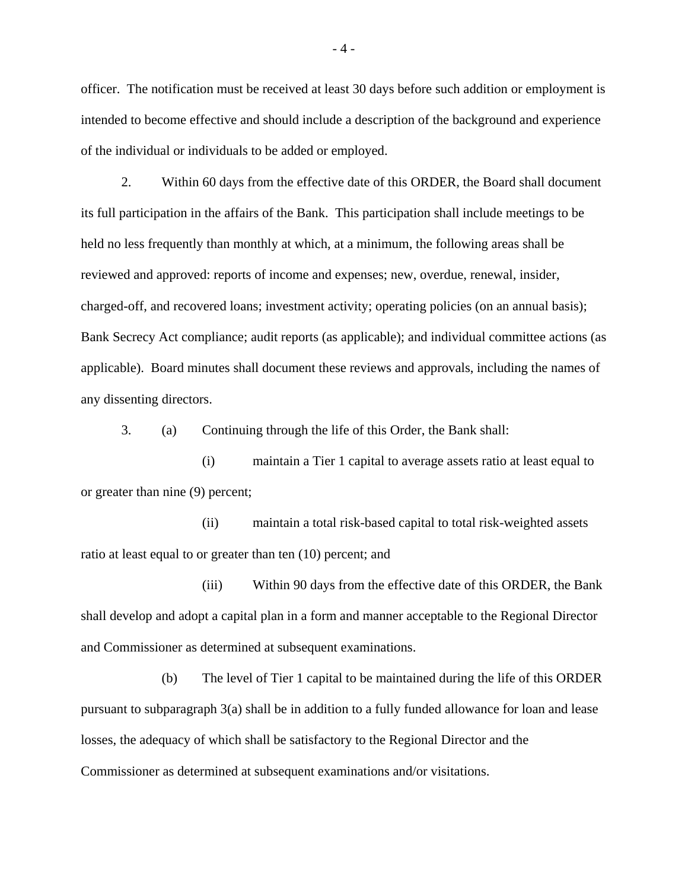officer. The notification must be received at least 30 days before such addition or employment is intended to become effective and should include a description of the background and experience of the individual or individuals to be added or employed.

2. Within 60 days from the effective date of this ORDER, the Board shall document its full participation in the affairs of the Bank. This participation shall include meetings to be held no less frequently than monthly at which, at a minimum, the following areas shall be reviewed and approved: reports of income and expenses; new, overdue, renewal, insider, charged-off, and recovered loans; investment activity; operating policies (on an annual basis); Bank Secrecy Act compliance; audit reports (as applicable); and individual committee actions (as applicable). Board minutes shall document these reviews and approvals, including the names of any dissenting directors.

3. (a) Continuing through the life of this Order, the Bank shall:

(i) maintain a Tier 1 capital to average assets ratio at least equal to or greater than nine (9) percent;

(ii) maintain a total risk-based capital to total risk-weighted assets ratio at least equal to or greater than ten (10) percent; and

(iii) Within 90 days from the effective date of this ORDER, the Bank shall develop and adopt a capital plan in a form and manner acceptable to the Regional Director and Commissioner as determined at subsequent examinations.

(b) The level of Tier 1 capital to be maintained during the life of this ORDER pursuant to subparagraph 3(a) shall be in addition to a fully funded allowance for loan and lease losses, the adequacy of which shall be satisfactory to the Regional Director and the Commissioner as determined at subsequent examinations and/or visitations.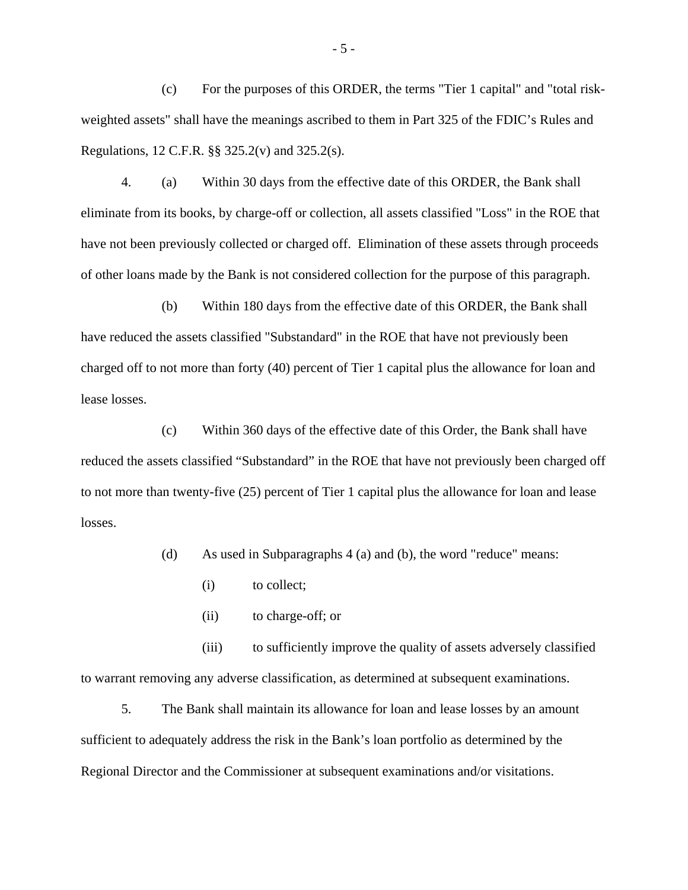(c) For the purposes of this ORDER, the terms "Tier 1 capital" and "total riskweighted assets" shall have the meanings ascribed to them in Part 325 of the FDIC's Rules and Regulations, 12 C.F.R. §§ 325.2(v) and 325.2(s).

4. (a) Within 30 days from the effective date of this ORDER, the Bank shall eliminate from its books, by charge-off or collection, all assets classified "Loss" in the ROE that have not been previously collected or charged off. Elimination of these assets through proceeds of other loans made by the Bank is not considered collection for the purpose of this paragraph.

(b) Within 180 days from the effective date of this ORDER, the Bank shall have reduced the assets classified "Substandard" in the ROE that have not previously been charged off to not more than forty (40) percent of Tier 1 capital plus the allowance for loan and lease losses.

(c) Within 360 days of the effective date of this Order, the Bank shall have reduced the assets classified "Substandard" in the ROE that have not previously been charged off to not more than twenty-five (25) percent of Tier 1 capital plus the allowance for loan and lease losses.

(d) As used in Subparagraphs 4 (a) and (b), the word "reduce" means:

- (i) to collect;
- (ii) to charge-off; or

(iii) to sufficiently improve the quality of assets adversely classified to warrant removing any adverse classification, as determined at subsequent examinations.

5. The Bank shall maintain its allowance for loan and lease losses by an amount sufficient to adequately address the risk in the Bank's loan portfolio as determined by the Regional Director and the Commissioner at subsequent examinations and/or visitations.

- 5 -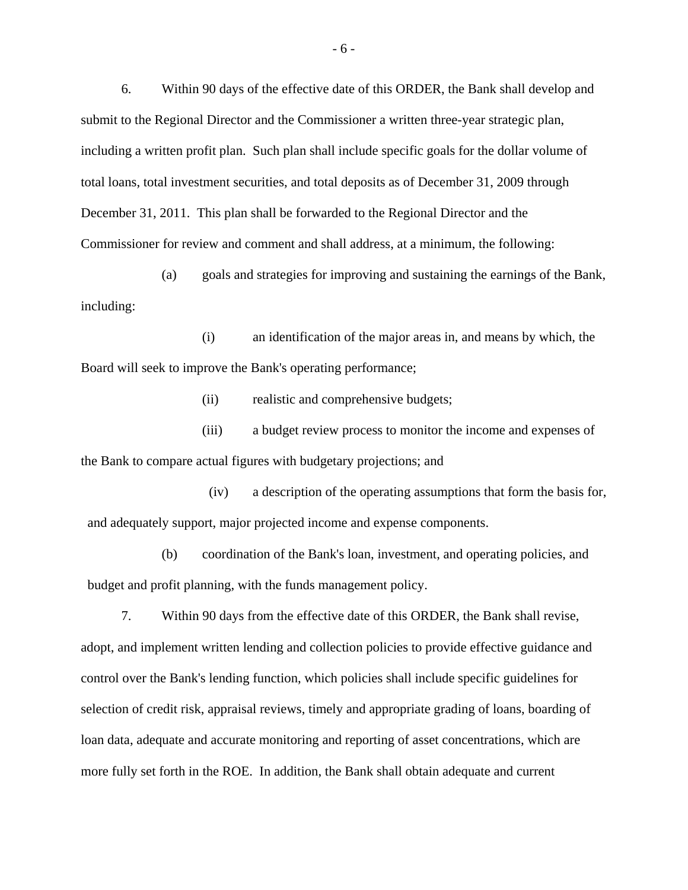6. Within 90 days of the effective date of this ORDER, the Bank shall develop and submit to the Regional Director and the Commissioner a written three-year strategic plan, including a written profit plan. Such plan shall include specific goals for the dollar volume of total loans, total investment securities, and total deposits as of December 31, 2009 through December 31, 2011. This plan shall be forwarded to the Regional Director and the Commissioner for review and comment and shall address, at a minimum, the following:

(a) goals and strategies for improving and sustaining the earnings of the Bank, including:

(i) an identification of the major areas in, and means by which, the Board will seek to improve the Bank's operating performance;

(ii) realistic and comprehensive budgets;

(iii) a budget review process to monitor the income and expenses of the Bank to compare actual figures with budgetary projections; and

(iv) a description of the operating assumptions that form the basis for, and adequately support, major projected income and expense components.

(b) coordination of the Bank's loan, investment, and operating policies, and budget and profit planning, with the funds management policy.

7. Within 90 days from the effective date of this ORDER, the Bank shall revise, adopt, and implement written lending and collection policies to provide effective guidance and control over the Bank's lending function, which policies shall include specific guidelines for selection of credit risk, appraisal reviews, timely and appropriate grading of loans, boarding of loan data, adequate and accurate monitoring and reporting of asset concentrations, which are more fully set forth in the ROE. In addition, the Bank shall obtain adequate and current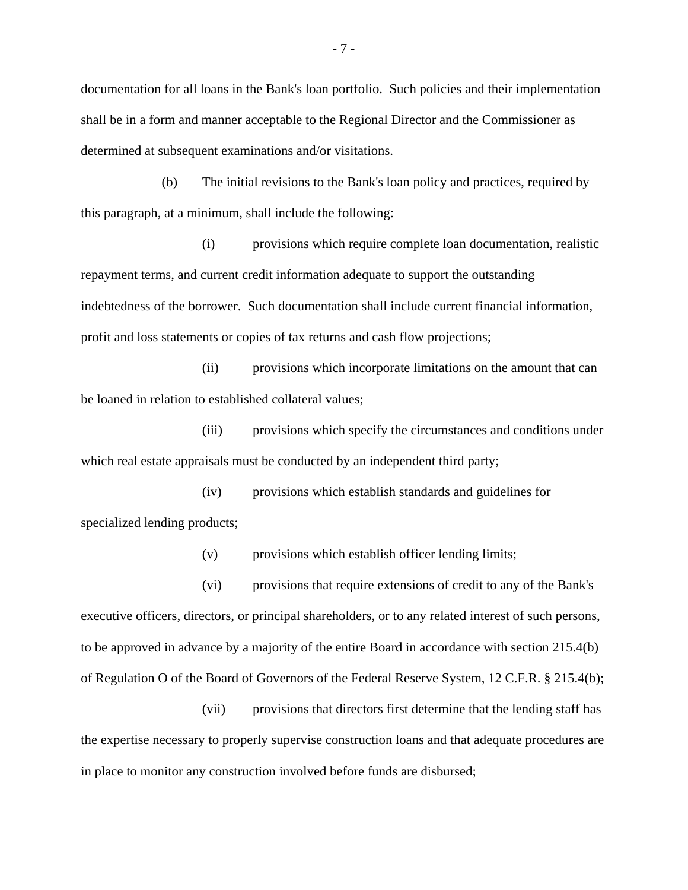documentation for all loans in the Bank's loan portfolio. Such policies and their implementation shall be in a form and manner acceptable to the Regional Director and the Commissioner as determined at subsequent examinations and/or visitations.

(b) The initial revisions to the Bank's loan policy and practices, required by this paragraph, at a minimum, shall include the following:

(i) provisions which require complete loan documentation, realistic repayment terms, and current credit information adequate to support the outstanding indebtedness of the borrower. Such documentation shall include current financial information, profit and loss statements or copies of tax returns and cash flow projections;

(ii) provisions which incorporate limitations on the amount that can be loaned in relation to established collateral values;

(iii) provisions which specify the circumstances and conditions under which real estate appraisals must be conducted by an independent third party;

(iv) provisions which establish standards and guidelines for specialized lending products;

(v) provisions which establish officer lending limits;

(vi) provisions that require extensions of credit to any of the Bank's executive officers, directors, or principal shareholders, or to any related interest of such persons, to be approved in advance by a majority of the entire Board in accordance with section 215.4(b) of Regulation O of the Board of Governors of the Federal Reserve System, 12 C.F.R. § 215.4(b);

(vii) provisions that directors first determine that the lending staff has the expertise necessary to properly supervise construction loans and that adequate procedures are in place to monitor any construction involved before funds are disbursed;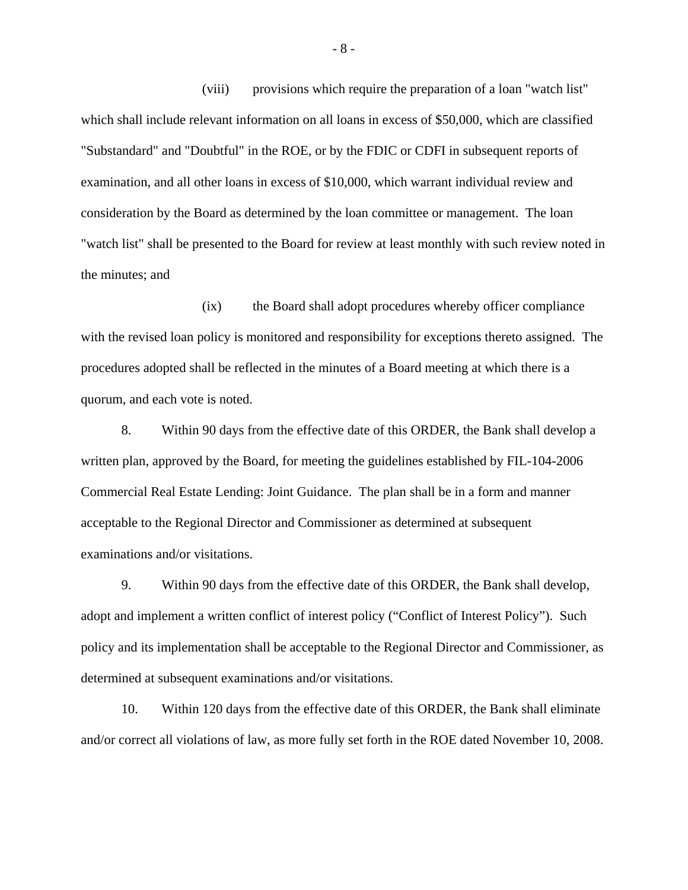(viii) provisions which require the preparation of a loan "watch list" which shall include relevant information on all loans in excess of \$50,000, which are classified "Substandard" and "Doubtful" in the ROE, or by the FDIC or CDFI in subsequent reports of examination, and all other loans in excess of \$10,000, which warrant individual review and consideration by the Board as determined by the loan committee or management. The loan "watch list" shall be presented to the Board for review at least monthly with such review noted in the minutes; and

(ix) the Board shall adopt procedures whereby officer compliance with the revised loan policy is monitored and responsibility for exceptions thereto assigned. The procedures adopted shall be reflected in the minutes of a Board meeting at which there is a quorum, and each vote is noted.

8. Within 90 days from the effective date of this ORDER, the Bank shall develop a written plan, approved by the Board, for meeting the guidelines established by FIL-104-2006 Commercial Real Estate Lending: Joint Guidance. The plan shall be in a form and manner acceptable to the Regional Director and Commissioner as determined at subsequent examinations and/or visitations.

9. Within 90 days from the effective date of this ORDER, the Bank shall develop, adopt and implement a written conflict of interest policy ("Conflict of Interest Policy"). Such policy and its implementation shall be acceptable to the Regional Director and Commissioner, as determined at subsequent examinations and/or visitations.

10. Within 120 days from the effective date of this ORDER, the Bank shall eliminate and/or correct all violations of law, as more fully set forth in the ROE dated November 10, 2008.

- 8 -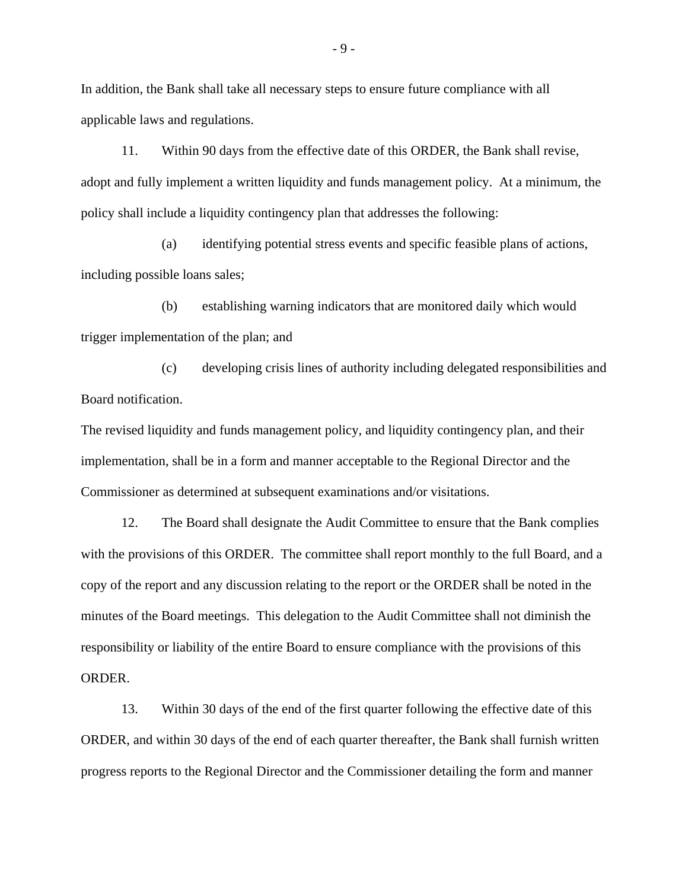In addition, the Bank shall take all necessary steps to ensure future compliance with all applicable laws and regulations.

11. Within 90 days from the effective date of this ORDER, the Bank shall revise, adopt and fully implement a written liquidity and funds management policy. At a minimum, the policy shall include a liquidity contingency plan that addresses the following:

 (a) identifying potential stress events and specific feasible plans of actions, including possible loans sales;

 (b) establishing warning indicators that are monitored daily which would trigger implementation of the plan; and

 (c) developing crisis lines of authority including delegated responsibilities and Board notification.

The revised liquidity and funds management policy, and liquidity contingency plan, and their implementation, shall be in a form and manner acceptable to the Regional Director and the Commissioner as determined at subsequent examinations and/or visitations.

12. The Board shall designate the Audit Committee to ensure that the Bank complies with the provisions of this ORDER. The committee shall report monthly to the full Board, and a copy of the report and any discussion relating to the report or the ORDER shall be noted in the minutes of the Board meetings. This delegation to the Audit Committee shall not diminish the responsibility or liability of the entire Board to ensure compliance with the provisions of this ORDER.

13. Within 30 days of the end of the first quarter following the effective date of this ORDER, and within 30 days of the end of each quarter thereafter, the Bank shall furnish written progress reports to the Regional Director and the Commissioner detailing the form and manner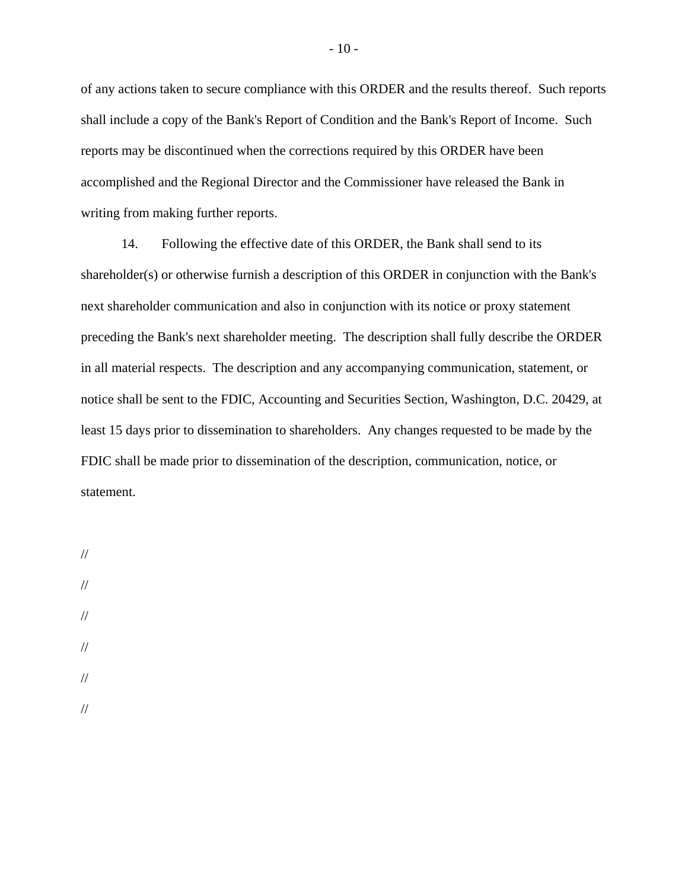of any actions taken to secure compliance with this ORDER and the results thereof. Such reports shall include a copy of the Bank's Report of Condition and the Bank's Report of Income. Such reports may be discontinued when the corrections required by this ORDER have been accomplished and the Regional Director and the Commissioner have released the Bank in writing from making further reports.

14. Following the effective date of this ORDER, the Bank shall send to its shareholder(s) or otherwise furnish a description of this ORDER in conjunction with the Bank's next shareholder communication and also in conjunction with its notice or proxy statement preceding the Bank's next shareholder meeting. The description shall fully describe the ORDER in all material respects. The description and any accompanying communication, statement, or notice shall be sent to the FDIC, Accounting and Securities Section, Washington, D.C. 20429, at least 15 days prior to dissemination to shareholders. Any changes requested to be made by the FDIC shall be made prior to dissemination of the description, communication, notice, or statement.

- //
- // //
- //
- //
- //